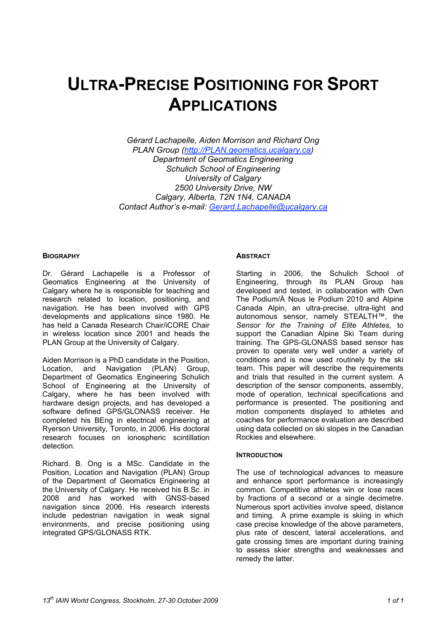# **ULTRA-PRECISE POSITIONING FOR SPORT APPLICATIONS**

*Gérard Lachapelle, Aiden Morrison and Richard Ong PLAN Group (http://PLAN.geomatics.ucalgary.ca) Department of Geomatics Engineering Schulich School of Engineering University of Calgary 2500 University Drive, NW Calgary, Alberta, T2N 1N4, CANADA Contact Author's e-mail: Gerard.Lachapelle@ucalgary.ca*

#### **BIOGRAPHY**

Dr. Gérard Lachapelle is a Professor of Geomatics Engineering at the University of Calgary where he is responsible for teaching and research related to location, positioning, and navigation. He has been involved with GPS developments and applications since 1980. He has held a Canada Research Chair/iCORE Chair in wireless location since 2001 and heads the PLAN Group at the University of Calgary.

Aiden Morrison is a PhD candidate in the Position, Location, and Navigation (PLAN) Group, Department of Geomatics Engineering Schulich School of Engineering at the University of Calgary, where he has been involved with hardware design projects, and has developed a software defined GPS/GLONASS receiver. He completed his BEng in electrical engineering at Ryerson University, Toronto, in 2006. His doctoral research focuses on ionospheric scintillation detection.

Richard. B. Ong is a MSc. Candidate in the Position, Location and Navigation (PLAN) Group of the Department of Geomatics Engineering at the University of Calgary. He received his B.Sc. in 2008 and has worked with GNSS-based navigation since 2006. His research interests include pedestrian navigation in weak signal environments, and precise positioning using integrated GPS/GLONASS RTK.

#### **ABSTRACT**

Starting in 2006, the Schulich School of Engineering, through its PLAN Group has developed and tested, in collaboration with Own The Podium/À Nous le Podium 2010 and Alpine Canada Alpin, an ultra-precise, ultra-light and autonomous sensor, namely STEALTH™, the *Sensor for the Training of Elite Athletes*, to support the Canadian Alpine Ski Team during training. The GPS-GLONASS based sensor has proven to operate very well under a variety of conditions and is now used routinely by the ski team. This paper will describe the requirements and trials that resulted in the current system. A description of the sensor components, assembly, mode of operation, technical specifications and performance is presented. The positioning and motion components displayed to athletes and coaches for performance evaluation are described using data collected on ski slopes in the Canadian Rockies and elsewhere.

## **INTRODUCTION**

The use of technological advances to measure and enhance sport performance is increasingly common. Competitive athletes win or lose races by fractions of a second or a single decimetre. Numerous sport activities involve speed, distance and timing. A prime example is skiing in which case precise knowledge of the above parameters, plus rate of descent, lateral accelerations, and gate crossing times are important during training to assess skier strengths and weaknesses and remedy the latter.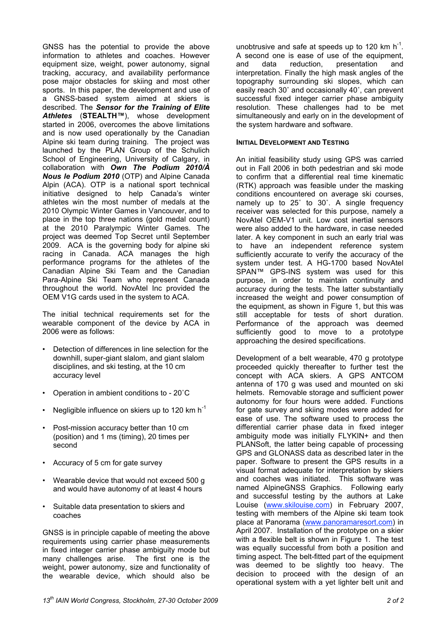GNSS has the potential to provide the above information to athletes and coaches. However equipment size, weight, power autonomy, signal tracking, accuracy, and availability performance pose major obstacles for skiing and most other sports. In this paper, the development and use of a GNSS-based system aimed at skiers is described. The *Sensor for the Training of Elite Athletes* (**STEALTH™**), whose development started in 2006, overcomes the above limitations and is now used operationally by the Canadian Alpine ski team during training. The project was launched by the PLAN Group of the Schulich School of Engineering, University of Calgary, in collaboration with *Own The Podium 2010/À Nous le Podium 2010* (OTP) and Alpine Canada Alpin (ACA). OTP is a national sport technical initiative designed to help Canada's winter athletes win the most number of medals at the 2010 Olympic Winter Games in Vancouver, and to place in the top three nations (gold medal count) at the 2010 Paralympic Winter Games. The project was deemed Top Secret until September 2009. ACA is the governing body for alpine ski racing in Canada. ACA manages the high performance programs for the athletes of the Canadian Alpine Ski Team and the Canadian Para-Alpine Ski Team who represent Canada throughout the world. NovAtel Inc provided the OEM V1G cards used in the system to ACA.

The initial technical requirements set for the wearable component of the device by ACA in 2006 were as follows:

- Detection of differences in line selection for the downhill, super-giant slalom, and giant slalom disciplines, and ski testing, at the 10 cm accuracy level
- Operation in ambient conditions to 20˚C
- Negligible influence on skiers up to 120 km  $h^{-1}$
- Post-mission accuracy better than 10 cm (position) and 1 ms (timing), 20 times per second
- Accuracy of 5 cm for gate survey
- Wearable device that would not exceed 500 g and would have autonomy of at least 4 hours
- Suitable data presentation to skiers and coaches

GNSS is in principle capable of meeting the above requirements using carrier phase measurements in fixed integer carrier phase ambiguity mode but many challenges arise. The first one is the weight, power autonomy, size and functionality of the wearable device, which should also be

unobtrusive and safe at speeds up to 120 km  $h^{-1}$ . A second one is ease of use of the equipment,<br>and data reduction, presentation and data reduction, presentation and interpretation. Finally the high mask angles of the topography surrounding ski slopes, which can easily reach 30˚ and occasionally 40˚, can prevent successful fixed integer carrier phase ambiguity resolution. These challenges had to be met simultaneously and early on in the development of the system hardware and software.

#### **INITIAL DEVELOPMENT AND TESTING**

An initial feasibility study using GPS was carried out in Fall 2006 in both pedestrian and ski mode to confirm that a differential real time kinematic (RTK) approach was feasible under the masking conditions encountered on average ski courses, namely up to 25˚ to 30˚. A single frequency receiver was selected for this purpose, namely a NovAtel OEM-V1 unit. Low cost inertial sensors were also added to the hardware, in case needed later. A key component in such an early trial was to have an independent reference system sufficiently accurate to verify the accuracy of the system under test. A HG-1700 based NovAtel SPAN™ GPS-INS system was used for this purpose, in order to maintain continuity and accuracy during the tests. The latter substantially increased the weight and power consumption of the equipment, as shown in Figure 1, but this was still acceptable for tests of short duration. Performance of the approach was deemed sufficiently good to move to a prototype approaching the desired specifications.

Development of a belt wearable, 470 g prototype proceeded quickly thereafter to further test the concept with ACA skiers. A GPS ANTCOM antenna of 170 g was used and mounted on ski helmets. Removable storage and sufficient power autonomy for four hours were added. Functions for gate survey and skiing modes were added for ease of use. The software used to process the differential carrier phase data in fixed integer ambiguity mode was initially FLYKIN+ and then PLANSoft, the latter being capable of processing GPS and GLONASS data as described later in the paper. Software to present the GPS results in a visual format adequate for interpretation by skiers and coaches was initiated. This software was named AlpineGNSS Graphics. Following early and successful testing by the authors at Lake Louise (www.skilouise.com) in February 2007, testing with members of the Alpine ski team took place at Panorama (www.panoramaresort.com) in April 2007. Installation of the prototype on a skier with a flexible belt is shown in Figure 1. The test was equally successful from both a position and timing aspect. The belt-fitted part of the equipment was deemed to be slightly too heavy. The decision to proceed with the design of an operational system with a yet lighter belt unit and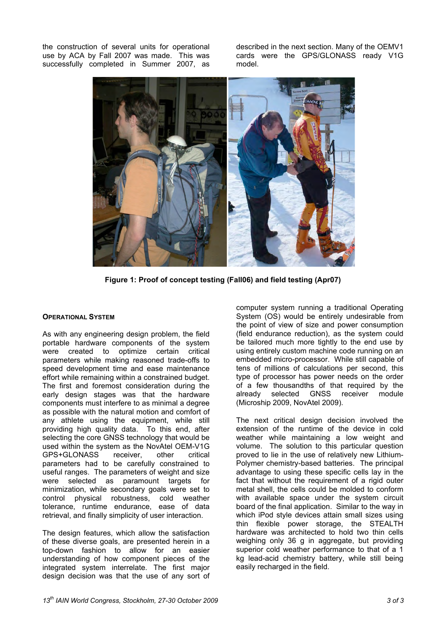the construction of several units for operational use by ACA by Fall 2007 was made. This was successfully completed in Summer 2007, as

described in the next section. Many of the OEMV1 cards were the GPS/GLONASS ready V1G model.



**Figure 1: Proof of concept testing (Fall06) and field testing (Apr07)**

## **OPERATIONAL SYSTEM**

As with any engineering design problem, the field portable hardware components of the system were created to optimize certain critical parameters while making reasoned trade-offs to speed development time and ease maintenance effort while remaining within a constrained budget. The first and foremost consideration during the early design stages was that the hardware components must interfere to as minimal a degree as possible with the natural motion and comfort of any athlete using the equipment, while still providing high quality data. To this end, after selecting the core GNSS technology that would be used within the system as the NovAtel OEM-V1G GPS+GLONASS receiver, other critical parameters had to be carefully constrained to useful ranges. The parameters of weight and size were selected as paramount targets for minimization, while secondary goals were set to control physical robustness, cold weather tolerance, runtime endurance, ease of data retrieval, and finally simplicity of user interaction.

The design features, which allow the satisfaction of these diverse goals, are presented herein in a top-down fashion to allow for an easier understanding of how component pieces of the integrated system interrelate. The first major design decision was that the use of any sort of

computer system running a traditional Operating System (OS) would be entirely undesirable from the point of view of size and power consumption (field endurance reduction), as the system could be tailored much more tightly to the end use by using entirely custom machine code running on an embedded micro-processor. While still capable of tens of millions of calculations per second, this type of processor has power needs on the order of a few thousandths of that required by the already selected GNSS receiver module (Microship 2009, NovAtel 2009).

The next critical design decision involved the extension of the runtime of the device in cold weather while maintaining a low weight and volume. The solution to this particular question proved to lie in the use of relatively new Lithium-Polymer chemistry-based batteries. The principal advantage to using these specific cells lay in the fact that without the requirement of a rigid outer metal shell, the cells could be molded to conform with available space under the system circuit board of the final application. Similar to the way in which iPod style devices attain small sizes using thin flexible power storage, the STEALTH hardware was architected to hold two thin cells weighing only 36 g in aggregate, but providing superior cold weather performance to that of a 1 kg lead-acid chemistry battery, while still being easily recharged in the field.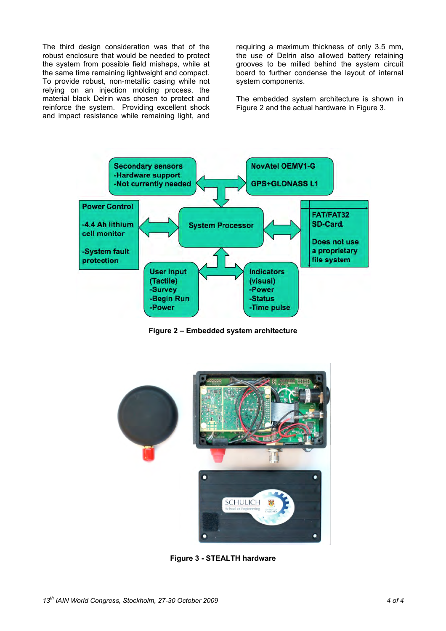The third design consideration was that of the robust enclosure that would be needed to protect the system from possible field mishaps, while at the same time remaining lightweight and compact. To provide robust, non-metallic casing while not relying on an injection molding process, the material black Delrin was chosen to protect and reinforce the system. Providing excellent shock and impact resistance while remaining light, and

requiring a maximum thickness of only 3.5 mm, the use of Delrin also allowed battery retaining grooves to be milled behind the system circuit board to further condense the layout of internal system components.

The embedded system architecture is shown in Figure 2 and the actual hardware in Figure 3.



**Figure 2 – Embedded system architecture**



**Figure 3 - STEALTH hardware**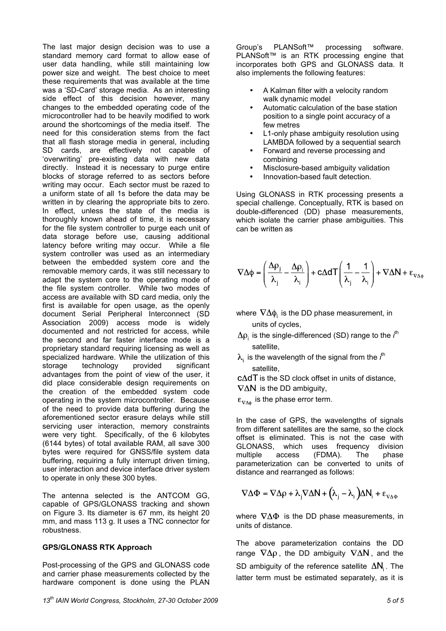The last major design decision was to use a standard memory card format to allow ease of user data handling, while still maintaining low power size and weight. The best choice to meet these requirements that was available at the time was a 'SD-Card' storage media. As an interesting side effect of this decision however, many changes to the embedded operating code of the microcontroller had to be heavily modified to work around the shortcomings of the media itself. The need for this consideration stems from the fact that all flash storage media in general, including SD cards, are effectively not capable of 'overwriting' pre-existing data with new data directly. Instead it is necessary to purge entire blocks of storage referred to as sectors before writing may occur. Each sector must be razed to a uniform state of all 1s before the data may be written in by clearing the appropriate bits to zero. In effect, unless the state of the media is thoroughly known ahead of time, it is necessary for the file system controller to purge each unit of data storage before use, causing additional latency before writing may occur. While a file system controller was used as an intermediary between the embedded system core and the removable memory cards, it was still necessary to adapt the system core to the operating mode of the file system controller. While two modes of access are available with SD card media, only the first is available for open usage, as the openly document Serial Peripheral Interconnect (SD Association 2009) access mode is widely documented and not restricted for access, while the second and far faster interface mode is a proprietary standard requiring licensing as well as specialized hardware. While the utilization of this storage technology provided significant advantages from the point of view of the user, it did place considerable design requirements on the creation of the embedded system code operating in the system microcontroller. Because of the need to provide data buffering during the aforementioned sector erasure delays while still servicing user interaction, memory constraints were very tight. Specifically, of the 6 kilobytes (6144 bytes) of total available RAM, all save 300 bytes were required for GNSS/file system data buffering, requiring a fully interrupt driven timing, user interaction and device interface driver system to operate in only these 300 bytes.

The antenna selected is the ANTCOM GG, capable of GPS/GLONASS tracking and shown on Figure 3. Its diameter is 67 mm, its height 20 mm, and mass 113 g. It uses a TNC connector for robustness.

## **GPS/GLONASS RTK Approach**

Post-processing of the GPS and GLONASS code and carrier phase measurements collected by the hardware component is done using the PLAN Group's PLANSoft™ processing software. PLANSoft™ is an RTK processing engine that incorporates both GPS and GLONASS data. It also implements the following features:

- A Kalman filter with a velocity random walk dynamic model
- Automatic calculation of the base station position to a single point accuracy of a few metres
- L1-only phase ambiguity resolution using LAMBDA followed by a sequential search
- Forward and reverse processing and combining
- Misclosure-based ambiguity validation
- Innovation-based fault detection.

Using GLONASS in RTK processing presents a special challenge. Conceptually, RTK is based on double-differenced (DD) phase measurements, which isolate the carrier phase ambiguities. This can be written as

$$
\nabla \Delta \phi = \left(\frac{\Delta \rho_{j}}{\lambda_{j}} - \frac{\Delta \rho_{i}}{\lambda_{i}}\right) + c\Delta dT \left(\frac{1}{\lambda_{j}} - \frac{1}{\lambda_{i}}\right) + \nabla \Delta N + \epsilon_{\nabla \Delta \phi}
$$

where  $\nabla \Delta \phi_i$  is the DD phase measurement, in units of cycles,

- is the single-differenced (SD) range to the *i*<sup>th</sup> satellite,
- is the wavelength of the signal from the *i*<sup>th</sup> satellite,
- $c\Delta dT$  is the SD clock offset in units of distance,  $\nabla \Delta N$  is the DD ambiguity,
- $\epsilon_{\nabla \Delta \phi}$  is the phase error term.

In the case of GPS, the wavelengths of signals from different satellites are the same, so the clock offset is eliminated. This is not the case with GLONASS, which uses frequency division multiple access (FDMA). The phase parameterization can be converted to units of distance and rearranged as follows:

$$
\nabla \Delta \Phi = \nabla \Delta \rho + \lambda_j \nabla \Delta N + \left(\lambda_j - \lambda_i\right) \Delta N_i + \epsilon_{\nabla \Delta \Phi}
$$

where  $\nabla \Delta \Phi$  is the DD phase measurements, in units of distance.

The above parameterization contains the DD range  $\nabla \Delta \rho$ , the DD ambiguity  $\nabla \Delta N$ , and the SD ambiguity of the reference satellite  $\Delta N_i$ . The latter term must be estimated separately, as it is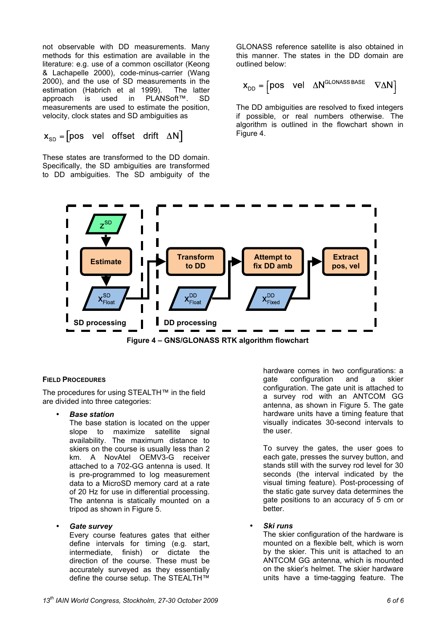not observable with DD measurements. Many methods for this estimation are available in the literature: e.g. use of a common oscillator (Keong & Lachapelle 2000), code-minus-carrier (Wang 2000), and the use of SD measurements in the estimation (Habrich et al 1999). The latter approach is used in PLANSoft™. SD measurements are used to estimate the position, velocity, clock states and SD ambiguities as

$$
x_{SD}
$$
 = [pos vel offset drift ΔN]

These states are transformed to the DD domain. Specifically, the SD ambiguities are transformed to DD ambiguities. The SD ambiguity of the

GLONASS reference satellite is also obtained in this manner. The states in the DD domain are outlined below:

$$
\mathbf{X}_{\text{DD}} = \begin{bmatrix} \text{pos} & \text{vel} & \Delta N^{\text{GLONASS BASE}} & \nabla \Delta N \end{bmatrix}
$$

The DD ambiguities are resolved to fixed integers if possible, or real numbers otherwise. The algorithm is outlined in the flowchart shown in Figure 4.



## **FIELD PROCEDURES**

The procedures for using STEALTH™ in the field are divided into three categories:

• *Base station*

The base station is located on the upper slope to maximize satellite signal availability. The maximum distance to skiers on the course is usually less than 2 km. A NovAtel OEMV3-G receiver attached to a 702-GG antenna is used. It is pre-programmed to log measurement data to a MicroSD memory card at a rate of 20 Hz for use in differential processing. The antenna is statically mounted on a tripod as shown in Figure 5.

## • *Gate survey*

Every course features gates that either define intervals for timing (e.g. start, intermediate, finish) or dictate the direction of the course. These must be accurately surveyed as they essentially define the course setup. The STEALTH™

hardware comes in two configurations: a gate configuration and a skier configuration. The gate unit is attached to a survey rod with an ANTCOM GG antenna, as shown in Figure 5. The gate hardware units have a timing feature that visually indicates 30-second intervals to the user.

To survey the gates, the user goes to each gate, presses the survey button, and stands still with the survey rod level for 30 seconds (the interval indicated by the visual timing feature). Post-processing of the static gate survey data determines the gate positions to an accuracy of 5 cm or better.

## • *Ski runs*

The skier configuration of the hardware is mounted on a flexible belt, which is worn by the skier. This unit is attached to an ANTCOM GG antenna, which is mounted on the skier's helmet. The skier hardware units have a time-tagging feature. The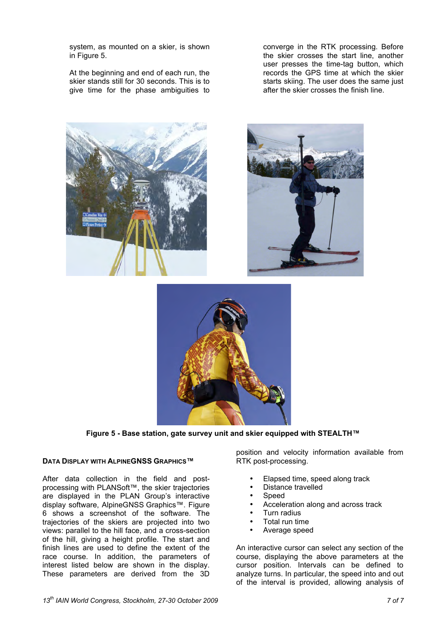system, as mounted on a skier, is shown in Figure 5.

At the beginning and end of each run, the skier stands still for 30 seconds. This is to give time for the phase ambiguities to

converge in the RTK processing. Before the skier crosses the start line, another user presses the time-tag button, which records the GPS time at which the skier starts skiing. The user does the same just after the skier crosses the finish line.



**Figure 5 - Base station, gate survey unit and skier equipped with STEALTH™**

#### **DATA DISPLAY WITH ALPINEGNSS GRAPHICS™**

After data collection in the field and postprocessing with PLANSoft™, the skier trajectories are displayed in the PLAN Group's interactive display software, AlpineGNSS Graphics™. Figure 6 shows a screenshot of the software. The trajectories of the skiers are projected into two views: parallel to the hill face, and a cross-section of the hill, giving a height profile. The start and finish lines are used to define the extent of the race course. In addition, the parameters of interest listed below are shown in the display. These parameters are derived from the 3D

position and velocity information available from RTK post-processing.

- Elapsed time, speed along track
- Distance travelled
- Speed
- Acceleration along and across track
- Turn radius
- Total run time
- Average speed

An interactive cursor can select any section of the course, displaying the above parameters at the cursor position. Intervals can be defined to analyze turns. In particular, the speed into and out of the interval is provided, allowing analysis of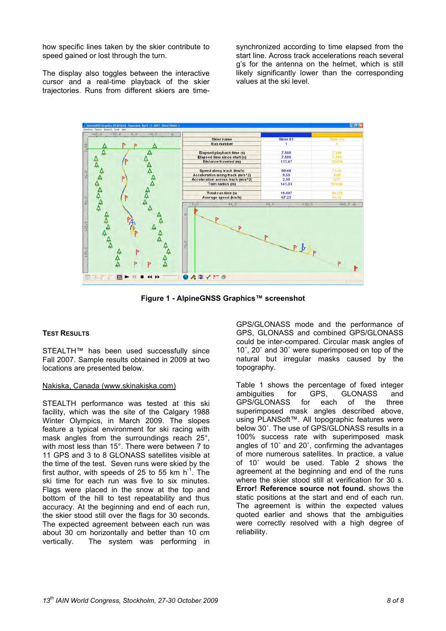how specific lines taken by the skier contribute to speed gained or lost through the turn.

The display also toggles between the interactive cursor and a real-time playback of the skier trajectories. Runs from different skiers are timesynchronized according to time elapsed from the start line. Across track accelerations reach several g's for the antenna on the helmet, which is still likely significantly lower than the corresponding values at the ski level.



**Figure 1 - AlpineGNSS Graphics™ screenshot**

## **TEST RESULTS**

STEALTH™ has been used successfully since Fall 2007. Sample results obtained in 2009 at two locations are presented below.

## Nakiska, Canada (www.skinakiska.com)

STEALTH performance was tested at this ski facility, which was the site of the Calgary 1988 Winter Olympics, in March 2009. The slopes feature a typical environment for ski racing with mask angles from the surroundings reach 25°, with most less than 15°. There were between 7 to 11 GPS and 3 to 8 GLONASS satellites visible at the time of the test. Seven runs were skied by the first author, with speeds of 25 to 55 km  $h^{-1}$ . The ski time for each run was five to six minutes. Flags were placed in the snow at the top and bottom of the hill to test repeatability and thus accuracy. At the beginning and end of each run, the skier stood still over the flags for 30 seconds. The expected agreement between each run was about 30 cm horizontally and better than 10 cm The system was performing in

GPS/GLONASS mode and the performance of GPS, GLONASS and combined GPS/GLONASS could be inter-compared. Circular mask angles of 10˚, 20˚ and 30˚ were superimposed on top of the natural but irregular masks caused by the topography.

Table 1 shows the percentage of fixed integer ambiguities for GPS, GLONASS and GPS/GLONASS for each of the three superimposed mask angles described above, using PLANSoft™. All topographic features were below 30˚. The use of GPS/GLONASS results in a 100% success rate with superimposed mask angles of 10˚ and 20˚, confirming the advantages of more numerous satellites. In practice, a value of 10˚ would be used. Table 2 shows the agreement at the beginning and end of the runs where the skier stood still at verification for 30 s. **Error! Reference source not found.** shows the static positions at the start and end of each run. The agreement is within the expected values quoted earlier and shows that the ambiguities were correctly resolved with a high degree of reliability.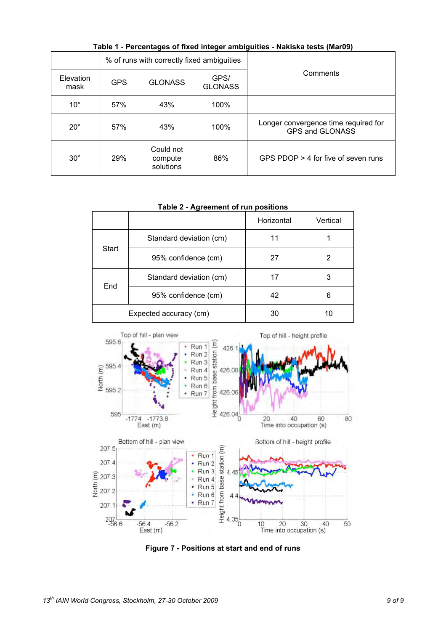| $1.400$ . The contraged of these integer animigative transferred than $0.000$ |            |                                            |                        |                                                         |  |  |  |  |  |
|-------------------------------------------------------------------------------|------------|--------------------------------------------|------------------------|---------------------------------------------------------|--|--|--|--|--|
|                                                                               |            | % of runs with correctly fixed ambiguities |                        |                                                         |  |  |  |  |  |
| Elevation<br>mask                                                             | <b>GPS</b> | <b>GLONASS</b>                             | GPS/<br><b>GLONASS</b> | Comments                                                |  |  |  |  |  |
| $10^{\circ}$                                                                  | 57%        | 43%                                        | 100%                   |                                                         |  |  |  |  |  |
| $20^{\circ}$                                                                  | 57%        | 43%                                        | 100%                   | Longer convergence time required for<br>GPS and GLONASS |  |  |  |  |  |
| $30^\circ$                                                                    | 29%        | Could not<br>compute<br>solutions          | 86%                    | GPS PDOP > 4 for five of seven runs                     |  |  |  |  |  |

**Table 1 - Percentages of fixed integer ambiguities - Nakiska tests (Mar09)**

**Table 2 - Agreement of run positions**

|                        |                         | Horizontal | Vertical |
|------------------------|-------------------------|------------|----------|
|                        | Standard deviation (cm) | 11         |          |
| Start                  | 95% confidence (cm)     | 27         | 2        |
| End                    | Standard deviation (cm) | 17         | 3        |
|                        | 95% confidence (cm)     | 42         | 6        |
| Expected accuracy (cm) |                         | 30         | 10       |



**Figure 7 - Positions at start and end of runs**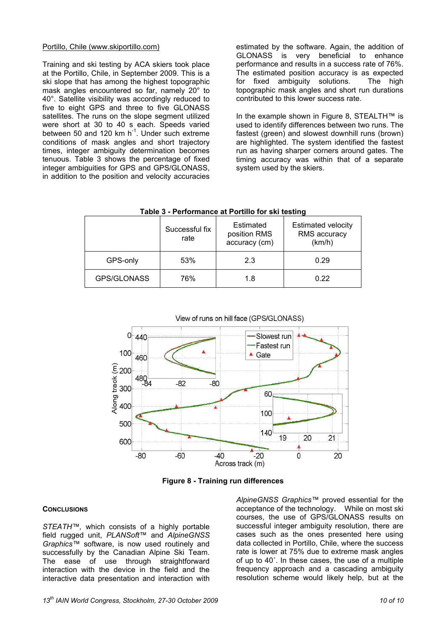## Portillo, Chile (www.skiportillo.com)

Training and ski testing by ACA skiers took place at the Portillo, Chile, in September 2009. This is a ski slope that has among the highest topographic mask angles encountered so far, namely 20° to 40°. Satellite visibility was accordingly reduced to five to eight GPS and three to five GLONASS satellites. The runs on the slope segment utilized were short at 30 to 40 s each. Speeds varied between 50 and 120 km  $h^{-1}$ . Under such extreme conditions of mask angles and short trajectory times, integer ambiguity determination becomes tenuous. Table 3 shows the percentage of fixed integer ambiguities for GPS and GPS/GLONASS, in addition to the position and velocity accuracies

estimated by the software. Again, the addition of GLONASS is very beneficial to enhance performance and results in a success rate of 76%. The estimated position accuracy is as expected for fixed ambiguity solutions. The high topographic mask angles and short run durations contributed to this lower success rate.

In the example shown in Figure 8, STEALTH™ is used to identify differences between two runs. The fastest (green) and slowest downhill runs (brown) are highlighted. The system identified the fastest run as having sharper corners around gates. The timing accuracy was within that of a separate system used by the skiers.

| rable 5 - Feriormance at Fortuno for SKI testing |                        |                                            |                                                     |  |  |  |  |
|--------------------------------------------------|------------------------|--------------------------------------------|-----------------------------------------------------|--|--|--|--|
|                                                  | Successful fix<br>rate | Estimated<br>position RMS<br>accuracy (cm) | <b>Estimated velocity</b><br>RMS accuracy<br>(km/h) |  |  |  |  |
| GPS-only                                         | 53%                    | 2.3                                        | 0.29                                                |  |  |  |  |
| GPS/GLONASS                                      | 76%                    | 1.8                                        | 0.22                                                |  |  |  |  |

**Table 3 - Performance at Portillo for ski testing**



**Figure 8 - Training run differences** 

## **CONCLUSIONS**

*STEATH™,* which consists of a highly portable field rugged unit, *PLANSoft™* and *AlpineGNSS Graphics™* software, is now used routinely and successfully by the Canadian Alpine Ski Team. The ease of use through straightforward interaction with the device in the field and the interactive data presentation and interaction with

*AlpineGNSS Graphics™* proved essential for the acceptance of the technology. While on most ski courses, the use of GPS/GLONASS results on successful integer ambiguity resolution, there are cases such as the ones presented here using data collected in Portillo, Chile, where the success rate is lower at 75% due to extreme mask angles of up to 40˚. In these cases, the use of a multiple frequency approach and a cascading ambiguity resolution scheme would likely help, but at the